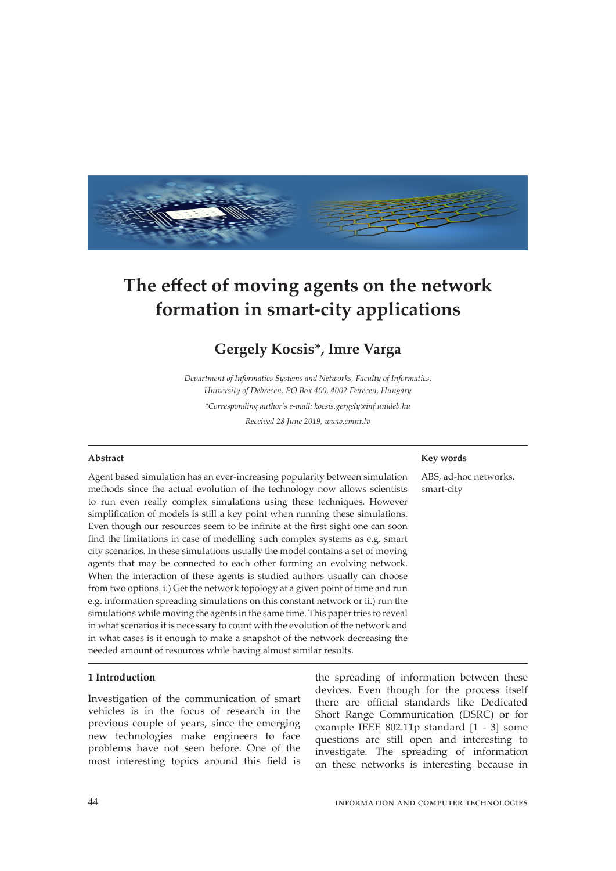

# **The effect of moving agents on the network formation in smart-city applications**

# **Gergely Kocsis\*, Imre Varga**

*Department of Informatics Systems and Networks, Faculty of Informatics, University of Debrecen, PO Box 400, 4002 Derecen, Hungary \*Corresponding author's e-mail: kocsis.gergely@inf.unideb.hu Received 28 June 2019, www.cmnt.lv*

#### **Abstract**

Agent based simulation has an ever-increasing popularity between simulation methods since the actual evolution of the technology now allows scientists to run even really complex simulations using these techniques. However simplification of models is still a key point when running these simulations. Even though our resources seem to be infinite at the first sight one can soon find the limitations in case of modelling such complex systems as e.g. smart city scenarios. In these simulations usually the model contains a set of moving agents that may be connected to each other forming an evolving network. When the interaction of these agents is studied authors usually can choose from two options. i.) Get the network topology at a given point of time and run e.g. information spreading simulations on this constant network or ii.) run the simulations while moving the agents in the same time. This paper tries to reveal in what scenarios it is necessary to count with the evolution of the network and in what cases is it enough to make a snapshot of the network decreasing the needed amount of resources while having almost similar results.

# **1 Introduction**

Investigation of the communication of smart vehicles is in the focus of research in the previous couple of years, since the emerging new technologies make engineers to face problems have not seen before. One of the most interesting topics around this field is

the spreading of information between these devices. Even though for the process itself there are official standards like Dedicated Short Range Communication (DSRC) or for example IEEE 802.11p standard [1 - 3] some questions are still open and interesting to investigate. The spreading of information on these networks is interesting because in

# **Key words**

ABS, ad-hoc networks, smart-city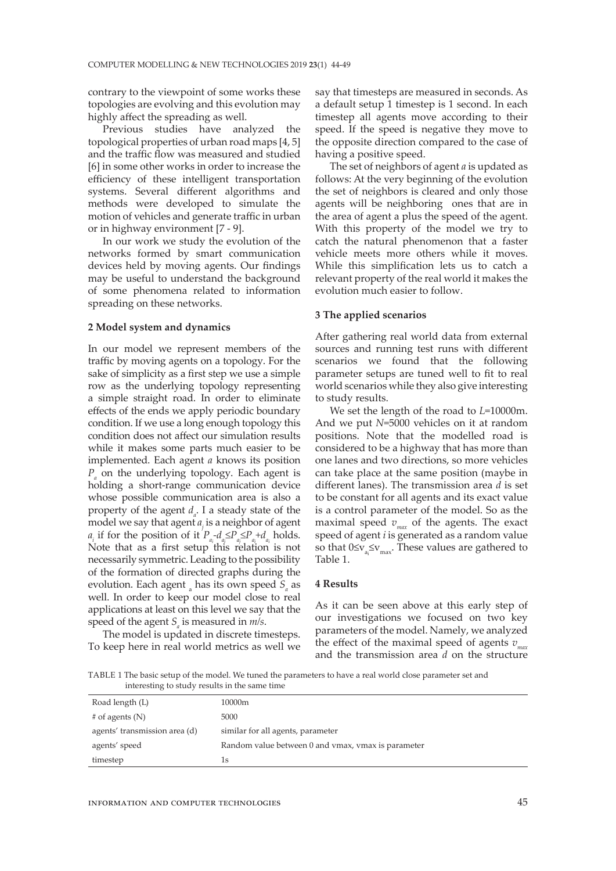contrary to the viewpoint of some works these topologies are evolving and this evolution may highly affect the spreading as well.

Previous studies have analyzed the topological properties of urban road maps [4, 5] and the traffic flow was measured and studied [6] in some other works in order to increase the efficiency of these intelligent transportation systems. Several different algorithms and methods were developed to simulate the motion of vehicles and generate traffic in urban or in highway environment [7 - 9].

In our work we study the evolution of the networks formed by smart communication devices held by moving agents. Our findings may be useful to understand the background of some phenomena related to information spreading on these networks.

### **2 Model system and dynamics**

In our model we represent members of the traffic by moving agents on a topology. For the sake of simplicity as a first step we use a simple row as the underlying topology representing a simple straight road. In order to eliminate effects of the ends we apply periodic boundary condition. If we use a long enough topology this condition does not affect our simulation results while it makes some parts much easier to be implemented. Each agent *a* knows its position *Pa* on the underlying topology. Each agent is holding a short-range communication device whose possible communication area is also a property of the agent  $d_a$ . I a steady state of the model we say that agent *aj* is a neighbor of agent *a<sub>i</sub>* if for the position of it  $P_{a_i} - d_{a_j} \leq P_{a_j} \leq P_{a_i} + d_{a_i}$  holds. Note that as a first setup this relation is not necessarily symmetric. Leading to the possibility of the formation of directed graphs during the evolution. Each agent <sub>a</sub> has its own speed  $S_a$  as well. In order to keep our model close to real applications at least on this level we say that the speed of the agent  $S_a$  is measured in  $m/s$ .

The model is updated in discrete timesteps. To keep here in real world metrics as well we

say that timesteps are measured in seconds. As a default setup 1 timestep is 1 second. In each timestep all agents move according to their speed. If the speed is negative they move to the opposite direction compared to the case of having a positive speed.

The set of neighbors of agent *a* is updated as follows: At the very beginning of the evolution the set of neighbors is cleared and only those agents will be neighboring ones that are in the area of agent a plus the speed of the agent. With this property of the model we try to catch the natural phenomenon that a faster vehicle meets more others while it moves. While this simplification lets us to catch a relevant property of the real world it makes the evolution much easier to follow.

# **3 The applied scenarios**

After gathering real world data from external sources and running test runs with different scenarios we found that the following parameter setups are tuned well to fit to real world scenarios while they also give interesting to study results.

We set the length of the road to *L*=10000m. And we put *N*=5000 vehicles on it at random positions. Note that the modelled road is considered to be a highway that has more than one lanes and two directions, so more vehicles can take place at the same position (maybe in different lanes). The transmission area *d* is set to be constant for all agents and its exact value is a control parameter of the model. So as the maximal speed  $v_{max}$  of the agents. The exact speed of agent *i* is generated as a random value so that  $0 \leq v_{a_i} \leq v_{max}$ . These values are gathered to Table 1.

# **4 Results**

As it can be seen above at this early step of our investigations we focused on two key parameters of the model. Namely, we analyzed the effect of the maximal speed of agents  $v_{\text{max}}$ and the transmission area *d* on the structure

TABLE 1 The basic setup of the model. We tuned the parameters to have a real world close parameter set and interesting to study results in the same time

| Road length (L)               | 10000m                                             |
|-------------------------------|----------------------------------------------------|
| $#$ of agents (N)             | 5000                                               |
| agents' transmission area (d) | similar for all agents, parameter                  |
| agents' speed                 | Random value between 0 and vmax, vmax is parameter |
| timestep                      | 1s                                                 |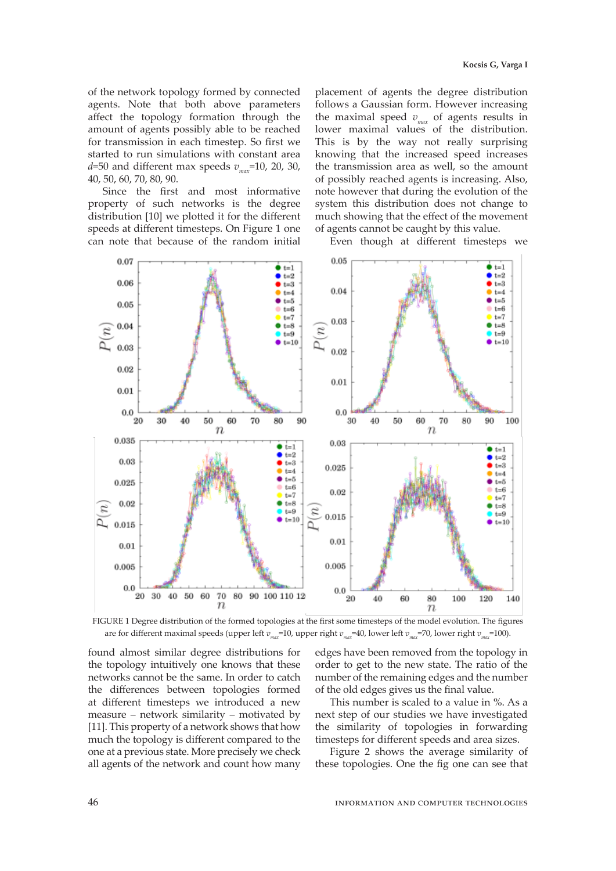of the network topology formed by connected agents. Note that both above parameters affect the topology formation through the amount of agents possibly able to be reached for transmission in each timestep. So first we started to run simulations with constant area  $d=50$  and different max speeds  $v_{\text{max}}=10$ , 20, 30, 40, 50, 60, 70, 80, 90.

Since the first and most informative property of such networks is the degree distribution [10] we plotted it for the different speeds at different timesteps. On Figure 1 one can note that because of the random initial

placement of agents the degree distribution follows a Gaussian form. However increasing the maximal speed  $v_{max}$  of agents results in lower maximal values of the distribution. This is by the way not really surprising knowing that the increased speed increases the transmission area as well, so the amount of possibly reached agents is increasing. Also, note however that during the evolution of the system this distribution does not change to much showing that the effect of the movement of agents cannot be caught by this value.

Even though at different timesteps we



FIGURE 1 Degree distribution of the formed topologies at the first some timesteps of the model evolution. The figures are for different maximal speeds (upper left *vmax*=10, upper right *vmax*=40, lower left *vmax*=70, lower right *vmax*=100).

found almost similar degree distributions for the topology intuitively one knows that these networks cannot be the same. In order to catch the differences between topologies formed at different timesteps we introduced a new measure – network similarity – motivated by [11]. This property of a network shows that how much the topology is different compared to the one at a previous state. More precisely we check all agents of the network and count how many

edges have been removed from the topology in order to get to the new state. The ratio of the number of the remaining edges and the number of the old edges gives us the final value.

This number is scaled to a value in %. As a next step of our studies we have investigated the similarity of topologies in forwarding timesteps for different speeds and area sizes.

Figure 2 shows the average similarity of these topologies. One the fig one can see that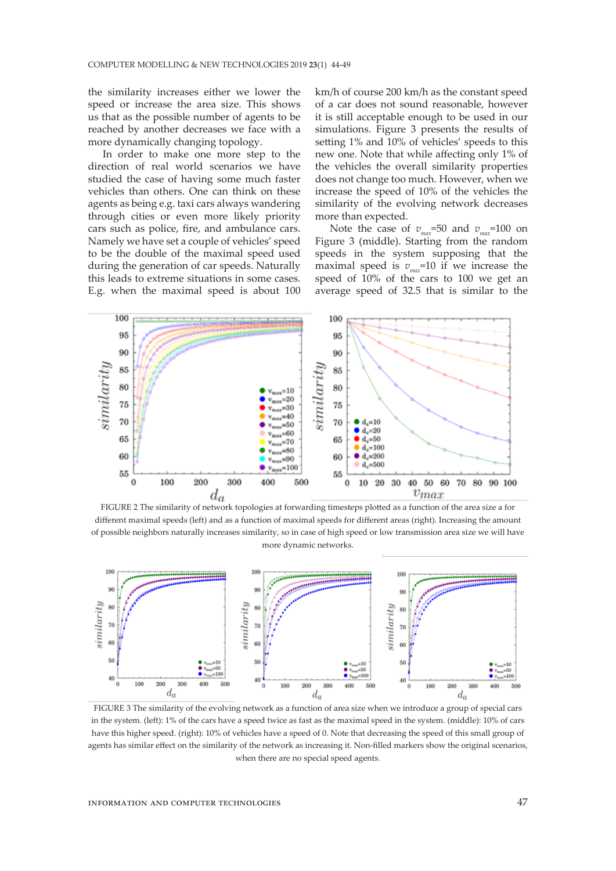the similarity increases either we lower the speed or increase the area size. This shows us that as the possible number of agents to be reached by another decreases we face with a more dynamically changing topology.

In order to make one more step to the direction of real world scenarios we have studied the case of having some much faster vehicles than others. One can think on these agents as being e.g. taxi cars always wandering through cities or even more likely priority cars such as police, fire, and ambulance cars. Namely we have set a couple of vehicles' speed to be the double of the maximal speed used during the generation of car speeds. Naturally this leads to extreme situations in some cases. E.g. when the maximal speed is about 100 km/h of course 200 km/h as the constant speed of a car does not sound reasonable, however it is still acceptable enough to be used in our simulations. Figure 3 presents the results of setting 1% and 10% of vehicles' speeds to this new one. Note that while affecting only 1% of the vehicles the overall similarity properties does not change too much. However, when we increase the speed of 10% of the vehicles the similarity of the evolving network decreases more than expected.

Note the case of  $v_{\text{max}}$ =50 and  $v_{\text{max}}$ =100 on Figure 3 (middle). Starting from the random speeds in the system supposing that the maximal speed is  $v_{\text{max}}$ =10 if we increase the speed of 10% of the cars to 100 we get an average speed of 32.5 that is similar to the



FIGURE 2 The similarity of network topologies at forwarding timesteps plotted as a function of the area size a for different maximal speeds (left) and as a function of maximal speeds for different areas (right). Increasing the amount of possible neighbors naturally increases similarity, so in case of high speed or low transmission area size we will have more dynamic networks.



FIGURE 3 The similarity of the evolving network as a function of area size when we introduce a group of special cars in the system. (left): 1% of the cars have a speed twice as fast as the maximal speed in the system. (middle): 10% of cars have this higher speed. (right): 10% of vehicles have a speed of 0. Note that decreasing the speed of this small group of agents has similar effect on the similarity of the network as increasing it. Non-filled markers show the original scenarios, when there are no special speed agents.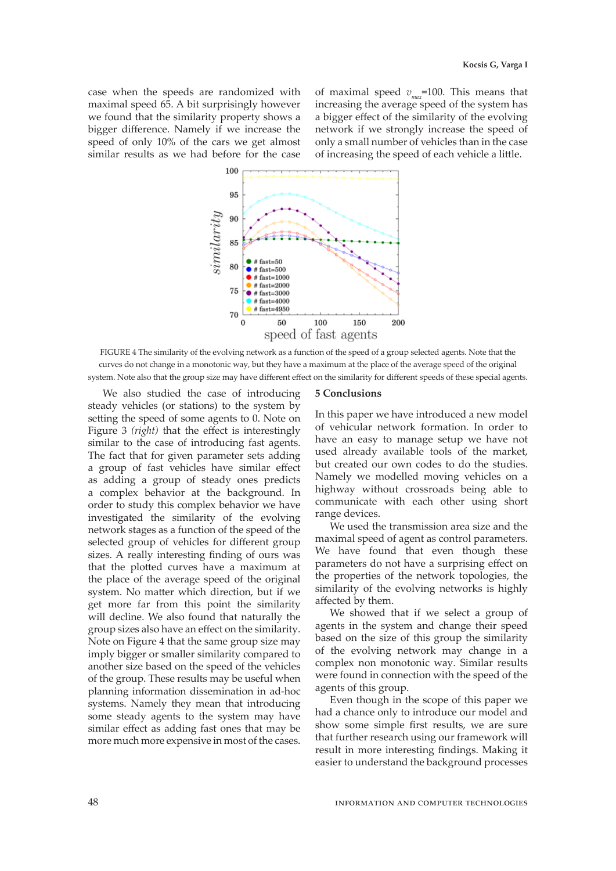case when the speeds are randomized with maximal speed 65. A bit surprisingly however we found that the similarity property shows a bigger difference. Namely if we increase the speed of only 10% of the cars we get almost similar results as we had before for the case

of maximal speed  $v_{max}$ =100. This means that increasing the average speed of the system has a bigger effect of the similarity of the evolving network if we strongly increase the speed of only a small number of vehicles than in the case of increasing the speed of each vehicle a little.



FIGURE 4 The similarity of the evolving network as a function of the speed of a group selected agents. Note that the curves do not change in a monotonic way, but they have a maximum at the place of the average speed of the original system. Note also that the group size may have different effect on the similarity for different speeds of these special agents.

We also studied the case of introducing steady vehicles (or stations) to the system by setting the speed of some agents to 0. Note on Figure 3 *(right)* that the effect is interestingly similar to the case of introducing fast agents. The fact that for given parameter sets adding a group of fast vehicles have similar effect as adding a group of steady ones predicts a complex behavior at the background. In order to study this complex behavior we have investigated the similarity of the evolving network stages as a function of the speed of the selected group of vehicles for different group sizes. A really interesting finding of ours was that the plotted curves have a maximum at the place of the average speed of the original system. No matter which direction, but if we get more far from this point the similarity will decline. We also found that naturally the group sizes also have an effect on the similarity. Note on Figure 4 that the same group size may imply bigger or smaller similarity compared to another size based on the speed of the vehicles of the group. These results may be useful when planning information dissemination in ad-hoc systems. Namely they mean that introducing some steady agents to the system may have similar effect as adding fast ones that may be more much more expensive in most of the cases.

#### **5 Conclusions**

In this paper we have introduced a new model of vehicular network formation. In order to have an easy to manage setup we have not used already available tools of the market, but created our own codes to do the studies. Namely we modelled moving vehicles on a highway without crossroads being able to communicate with each other using short range devices.

We used the transmission area size and the maximal speed of agent as control parameters. We have found that even though these parameters do not have a surprising effect on the properties of the network topologies, the similarity of the evolving networks is highly affected by them.

We showed that if we select a group of agents in the system and change their speed based on the size of this group the similarity of the evolving network may change in a complex non monotonic way. Similar results were found in connection with the speed of the agents of this group.

Even though in the scope of this paper we had a chance only to introduce our model and show some simple first results, we are sure that further research using our framework will result in more interesting findings. Making it easier to understand the background processes